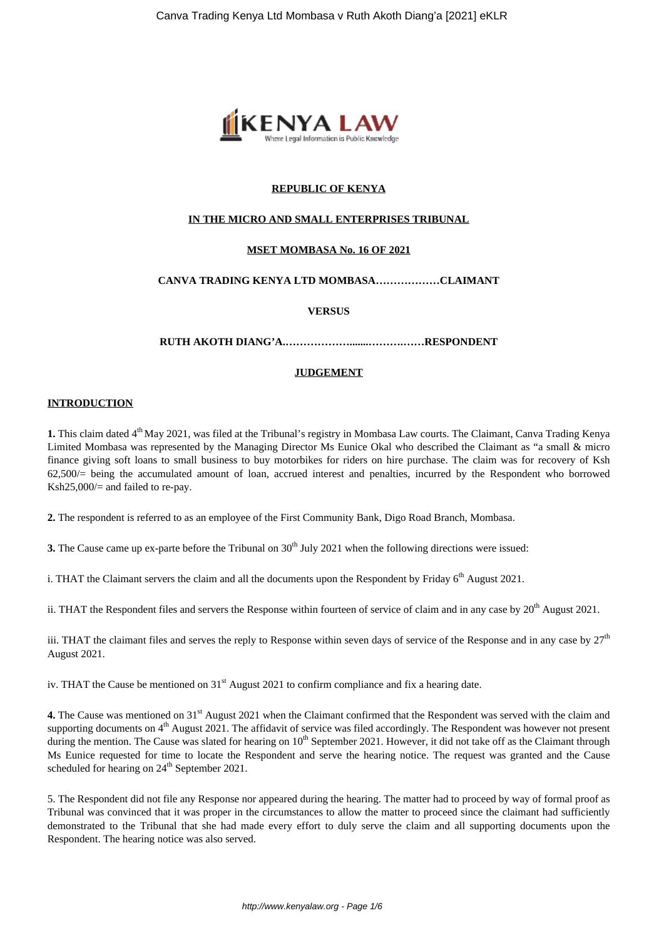

## **REPUBLIC OF KENYA**

## **IN THE MICRO AND SMALL ENTERPRISES TRIBUNAL**

## **MSET MOMBASA No. 16 OF 2021**

# **CANVA TRADING KENYA LTD MOMBASA………………CLAIMANT**

### **VERSUS**

**RUTH AKOTH DIANG'A.……………….......……….……RESPONDENT**

### **JUDGEMENT**

#### **INTRODUCTION**

**1.** This claim dated 4<sup>th</sup> May 2021, was filed at the Tribunal's registry in Mombasa Law courts. The Claimant, Canva Trading Kenya Limited Mombasa was represented by the Managing Director Ms Eunice Okal who described the Claimant as "a small & micro finance giving soft loans to small business to buy motorbikes for riders on hire purchase. The claim was for recovery of Ksh  $62,500/$  being the accumulated amount of loan, accrued interest and penalties, incurred by the Respondent who borrowed Ksh25,000/= and failed to re-pay.

**2.** The respondent is referred to as an employee of the First Community Bank, Digo Road Branch, Mombasa.

**3.** The Cause came up ex-parte before the Tribunal on  $30<sup>th</sup>$  July 2021 when the following directions were issued:

i. THAT the Claimant servers the claim and all the documents upon the Respondent by Friday  $6<sup>th</sup>$  August 2021.

ii. THAT the Respondent files and servers the Response within fourteen of service of claim and in any case by  $20^{th}$  August 2021.

iii. THAT the claimant files and serves the reply to Response within seven days of service of the Response and in any case by  $27<sup>th</sup>$ August 2021.

iv. THAT the Cause be mentioned on 31<sup>st</sup> August 2021 to confirm compliance and fix a hearing date.

**4.** The Cause was mentioned on 31<sup>st</sup> August 2021 when the Claimant confirmed that the Respondent was served with the claim and supporting documents on  $4<sup>th</sup>$  August 2021. The affidavit of service was filed accordingly. The Respondent was however not present during the mention. The Cause was slated for hearing on 10<sup>th</sup> September 2021. However, it did not take off as the Claimant through Ms Eunice requested for time to locate the Respondent and serve the hearing notice. The request was granted and the Cause scheduled for hearing on 24<sup>th</sup> September 2021.

5. The Respondent did not file any Response nor appeared during the hearing. The matter had to proceed by way of formal proof as Tribunal was convinced that it was proper in the circumstances to allow the matter to proceed since the claimant had sufficiently demonstrated to the Tribunal that she had made every effort to duly serve the claim and all supporting documents upon the Respondent. The hearing notice was also served.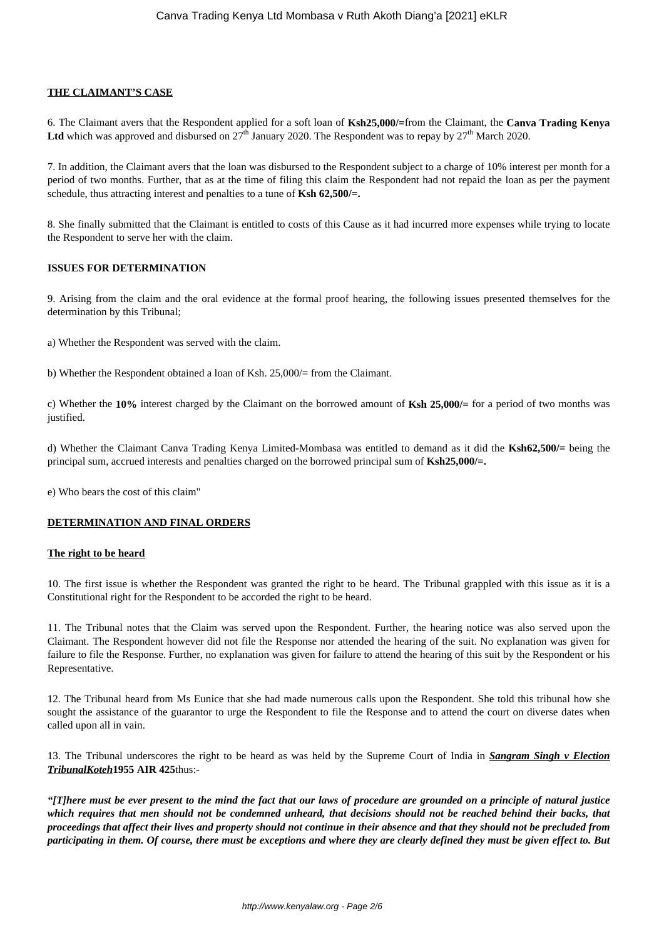## **THE CLAIMANT'S CASE**

6. The Claimant avers that the Respondent applied for a soft loan of **Ksh25,000/=**from the Claimant, the **Canva Trading Kenya** Ltd which was approved and disbursed on  $27<sup>th</sup>$  January 2020. The Respondent was to repay by  $27<sup>th</sup>$  March 2020.

7. In addition, the Claimant avers that the loan was disbursed to the Respondent subject to a charge of 10% interest per month for a period of two months. Further, that as at the time of filing this claim the Respondent had not repaid the loan as per the payment schedule, thus attracting interest and penalties to a tune of **Ksh 62,500/=.**

8. She finally submitted that the Claimant is entitled to costs of this Cause as it had incurred more expenses while trying to locate the Respondent to serve her with the claim.

## **ISSUES FOR DETERMINATION**

9. Arising from the claim and the oral evidence at the formal proof hearing, the following issues presented themselves for the determination by this Tribunal;

a) Whether the Respondent was served with the claim.

b) Whether the Respondent obtained a loan of Ksh. 25,000/= from the Claimant.

c) Whether the **10%** interest charged by the Claimant on the borrowed amount of **Ksh 25,000/=** for a period of two months was justified.

d) Whether the Claimant Canva Trading Kenya Limited-Mombasa was entitled to demand as it did the **Ksh62,500/=** being the principal sum, accrued interests and penalties charged on the borrowed principal sum of **Ksh25,000/=.**

e) Who bears the cost of this claim"

## **DETERMINATION AND FINAL ORDERS**

#### **The right to be heard**

10. The first issue is whether the Respondent was granted the right to be heard. The Tribunal grappled with this issue as it is a Constitutional right for the Respondent to be accorded the right to be heard.

11. The Tribunal notes that the Claim was served upon the Respondent. Further, the hearing notice was also served upon the Claimant. The Respondent however did not file the Response nor attended the hearing of the suit. No explanation was given for failure to file the Response. Further, no explanation was given for failure to attend the hearing of this suit by the Respondent or his Representative.

12. The Tribunal heard from Ms Eunice that she had made numerous calls upon the Respondent. She told this tribunal how she sought the assistance of the guarantor to urge the Respondent to file the Response and to attend the court on diverse dates when called upon all in vain.

13. The Tribunal underscores the right to be heard as was held by the Supreme Court of India in *Sangram Singh v Election TribunalKoteh***1955 AIR 425**thus:-

*"[T]here must be ever present to the mind the fact that our laws of procedure are grounded on a principle of natural justice which requires that men should not be condemned unheard, that decisions should not be reached behind their backs, that proceedings that affect their lives and property should not continue in their absence and that they should not be precluded from participating in them. Of course, there must be exceptions and where they are clearly defined they must be given effect to. But*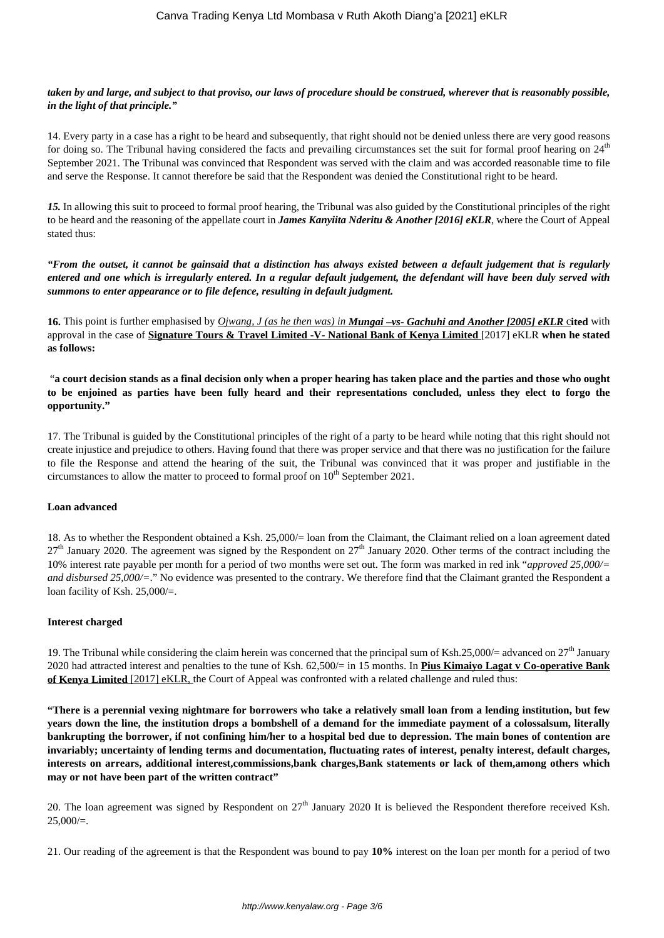## *taken by and large, and subject to that proviso, our laws of procedure should be construed, wherever that is reasonably possible, in the light of that principle."*

14. Every party in a case has a right to be heard and subsequently, that right should not be denied unless there are very good reasons for doing so. The Tribunal having considered the facts and prevailing circumstances set the suit for formal proof hearing on 24<sup>th</sup> September 2021. The Tribunal was convinced that Respondent was served with the claim and was accorded reasonable time to file and serve the Response. It cannot therefore be said that the Respondent was denied the Constitutional right to be heard.

*15.* In allowing this suit to proceed to formal proof hearing, the Tribunal was also guided by the Constitutional principles of the right to be heard and the reasoning of the appellate court in *James Kanyiita Nderitu & Another [2016] eKLR*, where the Court of Appeal stated thus:

*"From the outset, it cannot be gainsaid that a distinction has always existed between a default judgement that is regularly entered and one which is irregularly entered. In a regular default judgement, the defendant will have been duly served with summons to enter appearance or to file defence, resulting in default judgment.*

**16.** This point is further emphasised by *Ojwang, J (as he then was) in Mungai –vs- Gachuhi and Another [2005] eKLR* c**ited** with approval in the case of **Signature Tours & Travel Limited -V- National Bank of Kenya Limited** [2017] eKLR **when he stated as follows:** 

"**a court decision stands as a final decision only when a proper hearing has taken place and the parties and those who ought to be enjoined as parties have been fully heard and their representations concluded, unless they elect to forgo the opportunity."**

17. The Tribunal is guided by the Constitutional principles of the right of a party to be heard while noting that this right should not create injustice and prejudice to others. Having found that there was proper service and that there was no justification for the failure to file the Response and attend the hearing of the suit, the Tribunal was convinced that it was proper and justifiable in the circumstances to allow the matter to proceed to formal proof on  $10<sup>th</sup>$  September 2021.

# **Loan advanced**

18. As to whether the Respondent obtained a Ksh. 25,000/= loan from the Claimant, the Claimant relied on a loan agreement dated  $27<sup>th</sup>$  January 2020. The agreement was signed by the Respondent on  $27<sup>th</sup>$  January 2020. Other terms of the contract including the 10% interest rate payable per month for a period of two months were set out. The form was marked in red ink "*approved 25,000/= and disbursed 25,000/=*." No evidence was presented to the contrary. We therefore find that the Claimant granted the Respondent a loan facility of Ksh. 25,000/=.

## **Interest charged**

19. The Tribunal while considering the claim herein was concerned that the principal sum of Ksh.25,000/= advanced on  $27<sup>th</sup>$  January 2020 had attracted interest and penalties to the tune of Ksh. 62,500/= in 15 months. In **Pius Kimaiyo Lagat v Co-operative Bank of Kenya Limited** [2017] eKLR, the Court of Appeal was confronted with a related challenge and ruled thus:

**"There is a perennial vexing nightmare for borrowers who take a relatively small loan from a lending institution, but few years down the line, the institution drops a bombshell of a demand for the immediate payment of a colossalsum, literally bankrupting the borrower, if not confining him/her to a hospital bed due to depression. The main bones of contention are invariably; uncertainty of lending terms and documentation, fluctuating rates of interest, penalty interest, default charges, interests on arrears, additional interest,commissions,bank charges,Bank statements or lack of them,among others which may or not have been part of the written contract"**

20. The loan agreement was signed by Respondent on  $27<sup>th</sup>$  January 2020 It is believed the Respondent therefore received Ksh.  $25,000/=$ .

21. Our reading of the agreement is that the Respondent was bound to pay **10%** interest on the loan per month for a period of two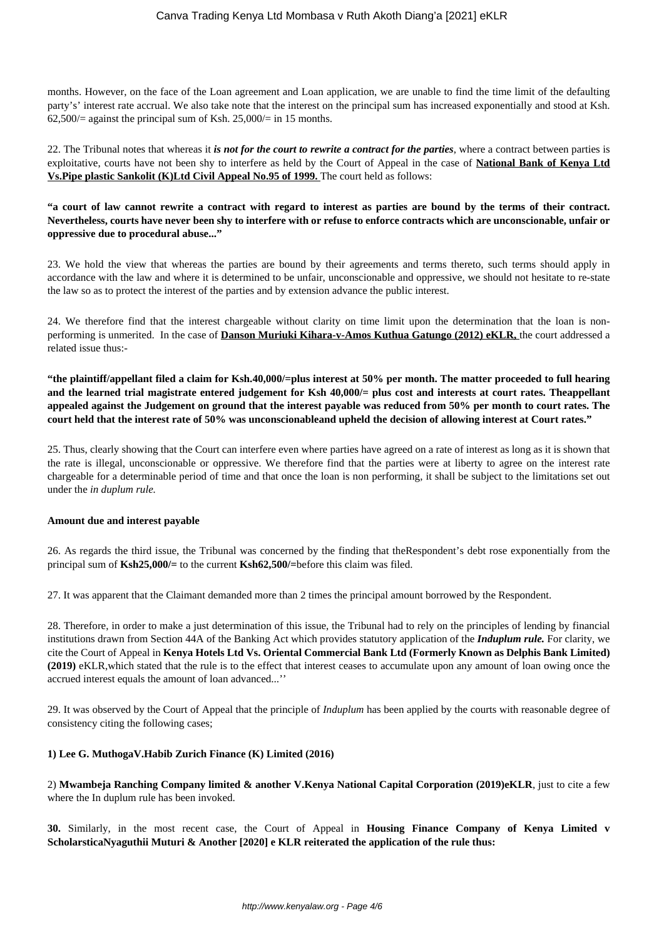months. However, on the face of the Loan agreement and Loan application, we are unable to find the time limit of the defaulting party's' interest rate accrual. We also take note that the interest on the principal sum has increased exponentially and stood at Ksh. 62,500/ $=$  against the principal sum of Ksh. 25,000/ $=$  in 15 months.

22. The Tribunal notes that whereas it *is not for the court to rewrite a contract for the parties*, where a contract between parties is exploitative, courts have not been shy to interfere as held by the Court of Appeal in the case of **National Bank of Kenya Ltd Vs.Pipe plastic Sankolit (K)Ltd Civil Appeal No.95 of 1999.** The court held as follows:

**"a court of law cannot rewrite a contract with regard to interest as parties are bound by the terms of their contract. Nevertheless, courts have never been shy to interfere with or refuse to enforce contracts which are unconscionable, unfair or oppressive due to procedural abuse..."**

23. We hold the view that whereas the parties are bound by their agreements and terms thereto, such terms should apply in accordance with the law and where it is determined to be unfair, unconscionable and oppressive, we should not hesitate to re-state the law so as to protect the interest of the parties and by extension advance the public interest.

24. We therefore find that the interest chargeable without clarity on time limit upon the determination that the loan is nonperforming is unmerited. In the case of **Danson Muriuki Kihara-v-Amos Kuthua Gatungo (2012) eKLR,** the court addressed a related issue thus:-

**"the plaintiff/appellant filed a claim for Ksh.40,000/=plus interest at 50% per month. The matter proceeded to full hearing and the learned trial magistrate entered judgement for Ksh 40,000/= plus cost and interests at court rates. Theappellant appealed against the Judgement on ground that the interest payable was reduced from 50% per month to court rates. The court held that the interest rate of 50% was unconscionableand upheld the decision of allowing interest at Court rates."**

25. Thus, clearly showing that the Court can interfere even where parties have agreed on a rate of interest as long as it is shown that the rate is illegal, unconscionable or oppressive. We therefore find that the parties were at liberty to agree on the interest rate chargeable for a determinable period of time and that once the loan is non performing, it shall be subject to the limitations set out under the *in duplum rule.* 

#### **Amount due and interest payable**

26. As regards the third issue, the Tribunal was concerned by the finding that theRespondent's debt rose exponentially from the principal sum of **Ksh25,000/=** to the current **Ksh62,500/=**before this claim was filed.

27. It was apparent that the Claimant demanded more than 2 times the principal amount borrowed by the Respondent.

28. Therefore, in order to make a just determination of this issue, the Tribunal had to rely on the principles of lending by financial institutions drawn from Section 44A of the Banking Act which provides statutory application of the *Induplum rule.* For clarity, we cite the Court of Appeal in **Kenya Hotels Ltd Vs. Oriental Commercial Bank Ltd (Formerly Known as Delphis Bank Limited) (2019)** eKLR,which stated that the rule is to the effect that interest ceases to accumulate upon any amount of loan owing once the accrued interest equals the amount of loan advanced...''

29. It was observed by the Court of Appeal that the principle of *Induplum* has been applied by the courts with reasonable degree of consistency citing the following cases;

## **1) Lee G. MuthogaV.Habib Zurich Finance (K) Limited (2016)**

2) **Mwambeja Ranching Company limited & another V.Kenya National Capital Corporation (2019)eKLR**, just to cite a few where the In duplum rule has been invoked.

**30.** Similarly, in the most recent case, the Court of Appeal in **Housing Finance Company of Kenya Limited v ScholarsticaNyaguthii Muturi & Another [2020] e KLR reiterated the application of the rule thus:**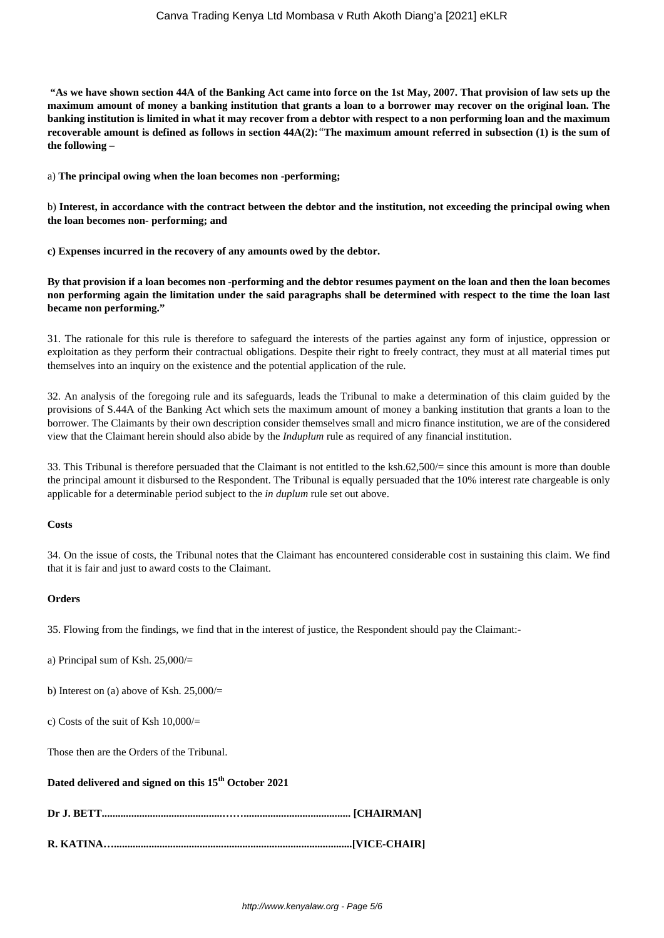**"As we have shown section 44A of the Banking Act came into force on the 1st May, 2007. That provision of law sets up the maximum amount of money a banking institution that grants a loan to a borrower may recover on the original loan. The banking institution is limited in what it may recover from a debtor with respect to a non performing loan and the maximum recoverable amount is defined as follows in section 44A(2):***"***The maximum amount referred in subsection (1) is the sum of the following –**

a) **The principal owing when the loan becomes non -performing;**

b) **Interest, in accordance with the contract between the debtor and the institution, not exceeding the principal owing when the loan becomes non- performing; and**

**c) Expenses incurred in the recovery of any amounts owed by the debtor.**

**By that provision if a loan becomes non -performing and the debtor resumes payment on the loan and then the loan becomes non performing again the limitation under the said paragraphs shall be determined with respect to the time the loan last became non performing."**

31. The rationale for this rule is therefore to safeguard the interests of the parties against any form of injustice, oppression or exploitation as they perform their contractual obligations. Despite their right to freely contract, they must at all material times put themselves into an inquiry on the existence and the potential application of the rule.

32. An analysis of the foregoing rule and its safeguards, leads the Tribunal to make a determination of this claim guided by the provisions of S.44A of the Banking Act which sets the maximum amount of money a banking institution that grants a loan to the borrower. The Claimants by their own description consider themselves small and micro finance institution, we are of the considered view that the Claimant herein should also abide by the *Induplum* rule as required of any financial institution.

33. This Tribunal is therefore persuaded that the Claimant is not entitled to the ksh.62,500/= since this amount is more than double the principal amount it disbursed to the Respondent. The Tribunal is equally persuaded that the 10% interest rate chargeable is only applicable for a determinable period subject to the *in duplum* rule set out above.

#### **Costs**

34. On the issue of costs, the Tribunal notes that the Claimant has encountered considerable cost in sustaining this claim. We find that it is fair and just to award costs to the Claimant.

#### **Orders**

35. Flowing from the findings, we find that in the interest of justice, the Respondent should pay the Claimant:-

a) Principal sum of Ksh. 25,000/=

b) Interest on (a) above of Ksh.  $25,000/$ =

c) Costs of the suit of Ksh  $10,000/$ 

Those then are the Orders of the Tribunal.

**Dated delivered and signed on this 15th October 2021**

**R. KATINA….........................................................................................[VICE-CHAIR]**